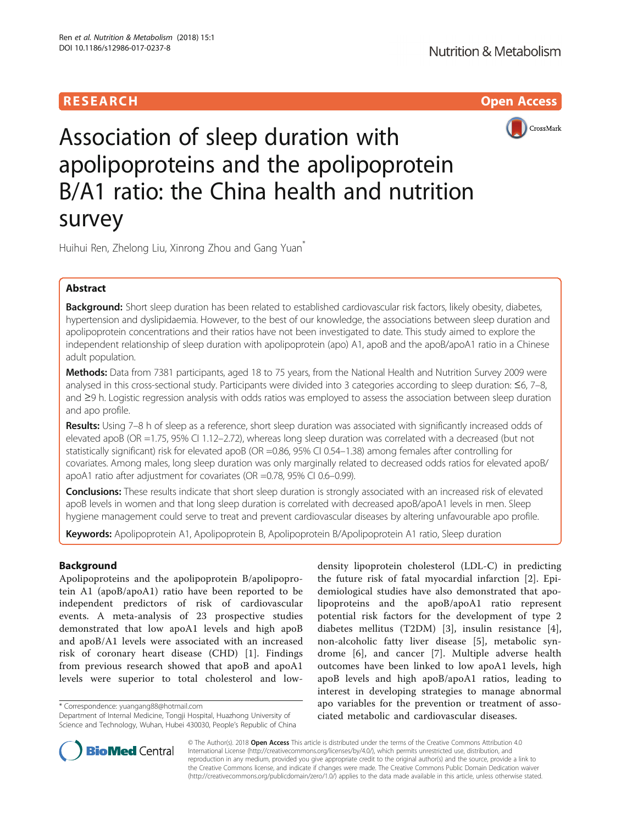# **RESEARCH CHILD CONTROL** CONTROL CONTROL CONTROL CONTROL CONTROL CONTROL CONTROL CONTROL CONTROL CONTROL CONTROL CONTROL CONTROL CONTROL CONTROL CONTROL CONTROL CONTROL CONTROL CONTROL CONTROL CONTROL CONTROL CONTROL CONTR



# Association of sleep duration with apolipoproteins and the apolipoprotein B/A1 ratio: the China health and nutrition survey

Huihui Ren, Zhelong Liu, Xinrong Zhou and Gang Yuan<sup>\*</sup>

# Abstract

Background: Short sleep duration has been related to established cardiovascular risk factors, likely obesity, diabetes, hypertension and dyslipidaemia. However, to the best of our knowledge, the associations between sleep duration and apolipoprotein concentrations and their ratios have not been investigated to date. This study aimed to explore the independent relationship of sleep duration with apolipoprotein (apo) A1, apoB and the apoB/apoA1 ratio in a Chinese adult population.

Methods: Data from 7381 participants, aged 18 to 75 years, from the National Health and Nutrition Survey 2009 were analysed in this cross-sectional study. Participants were divided into 3 categories according to sleep duration: ≤6, 7–8, and ≥9 h. Logistic regression analysis with odds ratios was employed to assess the association between sleep duration and apo profile.

Results: Using 7-8 h of sleep as a reference, short sleep duration was associated with significantly increased odds of elevated apoB (OR =1.75, 95% CI 1.12–2.72), whereas long sleep duration was correlated with a decreased (but not statistically significant) risk for elevated apoB (OR =0.86, 95% CI 0.54–1.38) among females after controlling for covariates. Among males, long sleep duration was only marginally related to decreased odds ratios for elevated apoB/ apoA1 ratio after adjustment for covariates (OR =0.78, 95% CI 0.6–0.99).

Conclusions: These results indicate that short sleep duration is strongly associated with an increased risk of elevated apoB levels in women and that long sleep duration is correlated with decreased apoB/apoA1 levels in men. Sleep hygiene management could serve to treat and prevent cardiovascular diseases by altering unfavourable apo profile.

Keywords: Apolipoprotein A1, Apolipoprotein B, Apolipoprotein B/Apolipoprotein A1 ratio, Sleep duration

# Background

Apolipoproteins and the apolipoprotein B/apolipoprotein A1 (apoB/apoA1) ratio have been reported to be independent predictors of risk of cardiovascular events. A meta-analysis of 23 prospective studies demonstrated that low apoA1 levels and high apoB and apoB/A1 levels were associated with an increased risk of coronary heart disease (CHD) [\[1](#page-8-0)]. Findings from previous research showed that apoB and apoA1 levels were superior to total cholesterol and low-

\* Correspondence: [yuangang88@hotmail.com](mailto:yuangang88@hotmail.com)

Department of Internal Medicine, Tongji Hospital, Huazhong University of Science and Technology, Wuhan, Hubei 430030, People's Republic of China density lipoprotein cholesterol (LDL-C) in predicting the future risk of fatal myocardial infarction [\[2](#page-8-0)]. Epidemiological studies have also demonstrated that apolipoproteins and the apoB/apoA1 ratio represent potential risk factors for the development of type 2 diabetes mellitus (T2DM) [\[3](#page-8-0)], insulin resistance [\[4](#page-8-0)], non-alcoholic fatty liver disease [[5\]](#page-8-0), metabolic syndrome [\[6](#page-8-0)], and cancer [[7\]](#page-8-0). Multiple adverse health outcomes have been linked to low apoA1 levels, high apoB levels and high apoB/apoA1 ratios, leading to interest in developing strategies to manage abnormal apo variables for the prevention or treatment of associated metabolic and cardiovascular diseases.



© The Author(s). 2018 Open Access This article is distributed under the terms of the Creative Commons Attribution 4.0 International License [\(http://creativecommons.org/licenses/by/4.0/](http://creativecommons.org/licenses/by/4.0/)), which permits unrestricted use, distribution, and reproduction in any medium, provided you give appropriate credit to the original author(s) and the source, provide a link to the Creative Commons license, and indicate if changes were made. The Creative Commons Public Domain Dedication waiver [\(http://creativecommons.org/publicdomain/zero/1.0/](http://creativecommons.org/publicdomain/zero/1.0/)) applies to the data made available in this article, unless otherwise stated.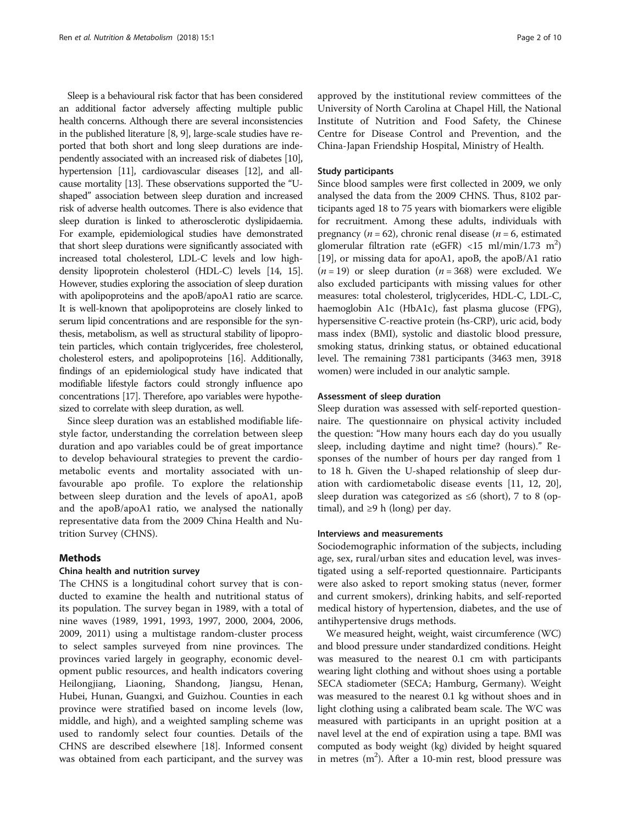Sleep is a behavioural risk factor that has been considered an additional factor adversely affecting multiple public health concerns. Although there are several inconsistencies in the published literature [[8](#page-8-0), [9\]](#page-8-0), large-scale studies have reported that both short and long sleep durations are independently associated with an increased risk of diabetes [\[10](#page-8-0)], hypertension [\[11\]](#page-8-0), cardiovascular diseases [[12](#page-8-0)], and allcause mortality [[13](#page-8-0)]. These observations supported the "Ushaped" association between sleep duration and increased risk of adverse health outcomes. There is also evidence that sleep duration is linked to atherosclerotic dyslipidaemia. For example, epidemiological studies have demonstrated that short sleep durations were significantly associated with increased total cholesterol, LDL-C levels and low highdensity lipoprotein cholesterol (HDL-C) levels [[14](#page-8-0), [15](#page-8-0)]. However, studies exploring the association of sleep duration with apolipoproteins and the apoB/apoA1 ratio are scarce. It is well-known that apolipoproteins are closely linked to serum lipid concentrations and are responsible for the synthesis, metabolism, as well as structural stability of lipoprotein particles, which contain triglycerides, free cholesterol, cholesterol esters, and apolipoproteins [\[16\]](#page-8-0). Additionally, findings of an epidemiological study have indicated that modifiable lifestyle factors could strongly influence apo concentrations [\[17\]](#page-8-0). Therefore, apo variables were hypothesized to correlate with sleep duration, as well.

Since sleep duration was an established modifiable lifestyle factor, understanding the correlation between sleep duration and apo variables could be of great importance to develop behavioural strategies to prevent the cardiometabolic events and mortality associated with unfavourable apo profile. To explore the relationship between sleep duration and the levels of apoA1, apoB and the apoB/apoA1 ratio, we analysed the nationally representative data from the 2009 China Health and Nutrition Survey (CHNS).

# **Methods**

#### China health and nutrition survey

The CHNS is a longitudinal cohort survey that is conducted to examine the health and nutritional status of its population. The survey began in 1989, with a total of nine waves (1989, 1991, 1993, 1997, 2000, 2004, 2006, 2009, 2011) using a multistage random-cluster process to select samples surveyed from nine provinces. The provinces varied largely in geography, economic development public resources, and health indicators covering Heilongjiang, Liaoning, Shandong, Jiangsu, Henan, Hubei, Hunan, Guangxi, and Guizhou. Counties in each province were stratified based on income levels (low, middle, and high), and a weighted sampling scheme was used to randomly select four counties. Details of the CHNS are described elsewhere [\[18](#page-8-0)]. Informed consent was obtained from each participant, and the survey was approved by the institutional review committees of the University of North Carolina at Chapel Hill, the National Institute of Nutrition and Food Safety, the Chinese Centre for Disease Control and Prevention, and the China-Japan Friendship Hospital, Ministry of Health.

### Study participants

Since blood samples were first collected in 2009, we only analysed the data from the 2009 CHNS. Thus, 8102 participants aged 18 to 75 years with biomarkers were eligible for recruitment. Among these adults, individuals with pregnancy ( $n = 62$ ), chronic renal disease ( $n = 6$ , estimated glomerular filtration rate (eGFR) <15 ml/min/1.73 m<sup>2</sup>) [[19](#page-8-0)], or missing data for apoA1, apoB, the apoB/A1 ratio  $(n = 19)$  or sleep duration  $(n = 368)$  were excluded. We also excluded participants with missing values for other measures: total cholesterol, triglycerides, HDL-C, LDL-C, haemoglobin A1c (HbA1c), fast plasma glucose (FPG), hypersensitive C-reactive protein (hs-CRP), uric acid, body mass index (BMI), systolic and diastolic blood pressure, smoking status, drinking status, or obtained educational level. The remaining 7381 participants (3463 men, 3918 women) were included in our analytic sample.

### Assessment of sleep duration

Sleep duration was assessed with self-reported questionnaire. The questionnaire on physical activity included the question: "How many hours each day do you usually sleep, including daytime and night time? (hours)." Responses of the number of hours per day ranged from 1 to 18 h. Given the U-shaped relationship of sleep duration with cardiometabolic disease events [[11, 12,](#page-8-0) [20](#page-9-0)], sleep duration was categorized as  $\leq 6$  (short), 7 to 8 (optimal), and  $\geq$ 9 h (long) per day.

# Interviews and measurements

Sociodemographic information of the subjects, including age, sex, rural/urban sites and education level, was investigated using a self-reported questionnaire. Participants were also asked to report smoking status (never, former and current smokers), drinking habits, and self-reported medical history of hypertension, diabetes, and the use of antihypertensive drugs methods.

We measured height, weight, waist circumference (WC) and blood pressure under standardized conditions. Height was measured to the nearest 0.1 cm with participants wearing light clothing and without shoes using a portable SECA stadiometer (SECA; Hamburg, Germany). Weight was measured to the nearest 0.1 kg without shoes and in light clothing using a calibrated beam scale. The WC was measured with participants in an upright position at a navel level at the end of expiration using a tape. BMI was computed as body weight (kg) divided by height squared in metres  $(m^2)$ . After a 10-min rest, blood pressure was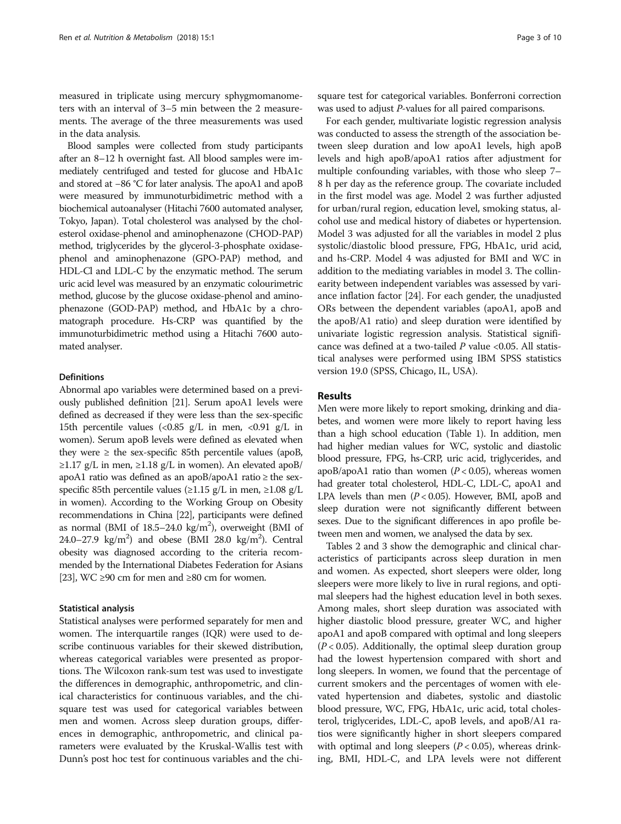measured in triplicate using mercury sphygmomanometers with an interval of 3–5 min between the 2 measurements. The average of the three measurements was used in the data analysis.

Blood samples were collected from study participants after an 8–12 h overnight fast. All blood samples were immediately centrifuged and tested for glucose and HbA1c and stored at −86 °C for later analysis. The apoA1 and apoB were measured by immunoturbidimetric method with a biochemical autoanalyser (Hitachi 7600 automated analyser, Tokyo, Japan). Total cholesterol was analysed by the cholesterol oxidase-phenol and aminophenazone (CHOD-PAP) method, triglycerides by the glycerol-3-phosphate oxidasephenol and aminophenazone (GPO-PAP) method, and HDL-Cl and LDL-C by the enzymatic method. The serum uric acid level was measured by an enzymatic colourimetric method, glucose by the glucose oxidase-phenol and aminophenazone (GOD-PAP) method, and HbA1c by a chromatograph procedure. Hs-CRP was quantified by the immunoturbidimetric method using a Hitachi 7600 automated analyser.

## Definitions

Abnormal apo variables were determined based on a previously published definition [\[21](#page-9-0)]. Serum apoA1 levels were defined as decreased if they were less than the sex-specific 15th percentile values  $\langle$ <0.85 g/L in men, <0.91 g/L in women). Serum apoB levels were defined as elevated when they were  $\geq$  the sex-specific 85th percentile values (apoB, ≥1.17 g/L in men, ≥1.18 g/L in women). An elevated apoB/ apoA1 ratio was defined as an apoB/apoA1 ratio ≥ the sexspecific 85th percentile values ( $\geq$ 1.15 g/L in men,  $\geq$ 1.08 g/L in women). According to the Working Group on Obesity recommendations in China [\[22\]](#page-9-0), participants were defined as normal (BMI of  $18.5-24.0 \text{ kg/m}^2$ ), overweight (BMI of 24.0–27.9  $\text{kg/m}^2$ ) and obese (BMI 28.0  $\text{kg/m}^2$ ). Central obesity was diagnosed according to the criteria recommended by the International Diabetes Federation for Asians [[23](#page-9-0)], WC  $\geq$ 90 cm for men and  $\geq$ 80 cm for women.

### Statistical analysis

Statistical analyses were performed separately for men and women. The interquartile ranges (IQR) were used to describe continuous variables for their skewed distribution, whereas categorical variables were presented as proportions. The Wilcoxon rank-sum test was used to investigate the differences in demographic, anthropometric, and clinical characteristics for continuous variables, and the chisquare test was used for categorical variables between men and women. Across sleep duration groups, differences in demographic, anthropometric, and clinical parameters were evaluated by the Kruskal-Wallis test with Dunn's post hoc test for continuous variables and the chi-

square test for categorical variables. Bonferroni correction was used to adjust P-values for all paired comparisons.

For each gender, multivariate logistic regression analysis was conducted to assess the strength of the association between sleep duration and low apoA1 levels, high apoB levels and high apoB/apoA1 ratios after adjustment for multiple confounding variables, with those who sleep 7– 8 h per day as the reference group. The covariate included in the first model was age. Model 2 was further adjusted for urban/rural region, education level, smoking status, alcohol use and medical history of diabetes or hypertension. Model 3 was adjusted for all the variables in model 2 plus systolic/diastolic blood pressure, FPG, HbA1c, urid acid, and hs-CRP. Model 4 was adjusted for BMI and WC in addition to the mediating variables in model 3. The collinearity between independent variables was assessed by variance inflation factor [[24](#page-9-0)]. For each gender, the unadjusted ORs between the dependent variables (apoA1, apoB and the apoB/A1 ratio) and sleep duration were identified by univariate logistic regression analysis. Statistical significance was defined at a two-tailed  $P$  value <0.05. All statistical analyses were performed using IBM SPSS statistics version 19.0 (SPSS, Chicago, IL, USA).

#### Results

Men were more likely to report smoking, drinking and diabetes, and women were more likely to report having less than a high school education (Table [1](#page-3-0)). In addition, men had higher median values for WC, systolic and diastolic blood pressure, FPG, hs-CRP, uric acid, triglycerides, and apoB/apoA1 ratio than women ( $P < 0.05$ ), whereas women had greater total cholesterol, HDL-C, LDL-C, apoA1 and LPA levels than men  $(P < 0.05)$ . However, BMI, apoB and sleep duration were not significantly different between sexes. Due to the significant differences in apo profile between men and women, we analysed the data by sex.

Tables [2](#page-4-0) and [3](#page-5-0) show the demographic and clinical characteristics of participants across sleep duration in men and women. As expected, short sleepers were older, long sleepers were more likely to live in rural regions, and optimal sleepers had the highest education level in both sexes. Among males, short sleep duration was associated with higher diastolic blood pressure, greater WC, and higher apoA1 and apoB compared with optimal and long sleepers  $(P < 0.05)$ . Additionally, the optimal sleep duration group had the lowest hypertension compared with short and long sleepers. In women, we found that the percentage of current smokers and the percentages of women with elevated hypertension and diabetes, systolic and diastolic blood pressure, WC, FPG, HbA1c, uric acid, total cholesterol, triglycerides, LDL-C, apoB levels, and apoB/A1 ratios were significantly higher in short sleepers compared with optimal and long sleepers ( $P < 0.05$ ), whereas drinking, BMI, HDL-C, and LPA levels were not different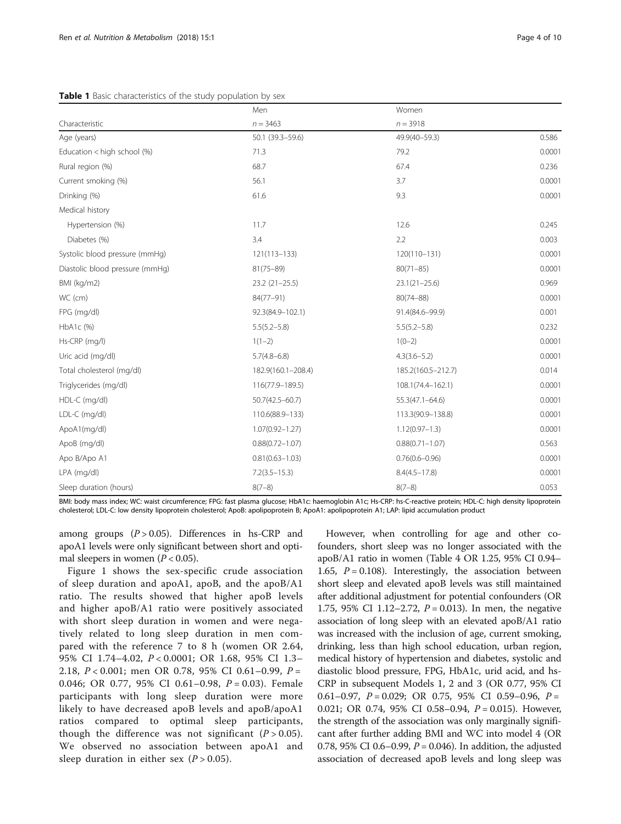#### <span id="page-3-0"></span>Table 1 Basic characteristics of the study population by sex

|                                 | Men                 | Women               |        |
|---------------------------------|---------------------|---------------------|--------|
| Characteristic                  | $n = 3463$          | $n = 3918$          |        |
| Age (years)                     | 50.1 (39.3-59.6)    | 49.9(40-59.3)       | 0.586  |
| Education < high school (%)     | 71.3                | 79.2                | 0.0001 |
| Rural region (%)                | 68.7                | 67.4                | 0.236  |
| Current smoking (%)             | 56.1                | 3.7                 | 0.0001 |
| Drinking (%)                    | 61.6                | 9.3                 | 0.0001 |
| Medical history                 |                     |                     |        |
| Hypertension (%)                | 11.7                | 12.6                | 0.245  |
| Diabetes (%)                    | 3.4                 | 2.2                 | 0.003  |
| Systolic blood pressure (mmHq)  | $121(113 - 133)$    | 120(110-131)        | 0.0001 |
| Diastolic blood pressure (mmHg) | $81(75 - 89)$       | $80(71 - 85)$       | 0.0001 |
| BMI (kg/m2)                     | $23.2(21-25.5)$     | $23.1(21 - 25.6)$   | 0.969  |
| WC (cm)                         | 84(77-91)           | $80(74 - 88)$       | 0.0001 |
| FPG (mg/dl)                     | 92.3(84.9-102.1)    | 91.4(84.6-99.9)     | 0.001  |
| HbA1c (%)                       | $5.5(5.2 - 5.8)$    | $5.5(5.2 - 5.8)$    | 0.232  |
| Hs-CRP (mg/l)                   | $1(1-2)$            | $1(0-2)$            | 0.0001 |
| Uric acid (mg/dl)               | $5.7(4.8 - 6.8)$    | $4.3(3.6 - 5.2)$    | 0.0001 |
| Total cholesterol (mg/dl)       | 182.9(160.1-208.4)  | 185.2(160.5-212.7)  | 0.014  |
| Triglycerides (mg/dl)           | 116(77.9-189.5)     | 108.1(74.4-162.1)   | 0.0001 |
| HDL-C (mg/dl)                   | $50.7(42.5 - 60.7)$ | $55.3(47.1 - 64.6)$ | 0.0001 |
| LDL-C (mg/dl)                   | 110.6(88.9-133)     | 113.3(90.9-138.8)   | 0.0001 |
| ApoA1(mg/dl)                    | $1.07(0.92 - 1.27)$ | $1.12(0.97 - 1.3)$  | 0.0001 |
| ApoB (mg/dl)                    | $0.88(0.72 - 1.07)$ | $0.88(0.71 - 1.07)$ | 0.563  |
| Apo B/Apo A1                    | $0.81(0.63 - 1.03)$ | $0.76(0.6 - 0.96)$  | 0.0001 |
| LPA (mg/dl)                     | $7.2(3.5 - 15.3)$   | $8.4(4.5 - 17.8)$   | 0.0001 |
| Sleep duration (hours)          | $8(7-8)$            | $8(7-8)$            | 0.053  |

BMI: body mass index; WC: waist circumference; FPG: fast plasma glucose; HbA1c: haemoglobin A1c; Hs-CRP: hs-C-reactive protein; HDL-C: high density lipoprotein cholesterol; LDL-C: low density lipoprotein cholesterol; ApoB: apolipoprotein B; ApoA1: apolipoprotein A1; LAP: lipid accumulation product

among groups  $(P > 0.05)$ . Differences in hs-CRP and apoA1 levels were only significant between short and optimal sleepers in women ( $P < 0.05$ ).

Figure [1](#page-6-0) shows the sex-specific crude association of sleep duration and apoA1, apoB, and the apoB/A1 ratio. The results showed that higher apoB levels and higher apoB/A1 ratio were positively associated with short sleep duration in women and were negatively related to long sleep duration in men compared with the reference 7 to 8 h (women OR 2.64, 95% CI 1.74–4.02, P < 0.0001; OR 1.68, 95% CI 1.3– 2.18,  $P < 0.001$ ; men OR 0.78, 95% CI 0.61-0.99,  $P =$ 0.046; OR 0.77, 95% CI 0.61-0.98,  $P = 0.03$ ). Female participants with long sleep duration were more likely to have decreased apoB levels and apoB/apoA1 ratios compared to optimal sleep participants, though the difference was not significant  $(P > 0.05)$ . We observed no association between apoA1 and sleep duration in either sex  $(P > 0.05)$ .

However, when controlling for age and other cofounders, short sleep was no longer associated with the apoB/A1 ratio in women (Table [4](#page-7-0) OR 1.25, 95% CI 0.94– 1.65,  $P = 0.108$ ). Interestingly, the association between short sleep and elevated apoB levels was still maintained after additional adjustment for potential confounders (OR 1.75, 95% CI 1.12–2.72,  $P = 0.013$ ). In men, the negative association of long sleep with an elevated apoB/A1 ratio was increased with the inclusion of age, current smoking, drinking, less than high school education, urban region, medical history of hypertension and diabetes, systolic and diastolic blood pressure, FPG, HbA1c, urid acid, and hs-CRP in subsequent Models 1, 2 and 3 (OR 0.77, 95% CI 0.61–0.97,  $P = 0.029$ ; OR 0.75, 95% CI 0.59–0.96,  $P =$ 0.021; OR 0.74, 95% CI 0.58-0.94, P = 0.015). However, the strength of the association was only marginally significant after further adding BMI and WC into model 4 (OR 0.78, 95% CI 0.6–0.99,  $P = 0.046$ ). In addition, the adjusted association of decreased apoB levels and long sleep was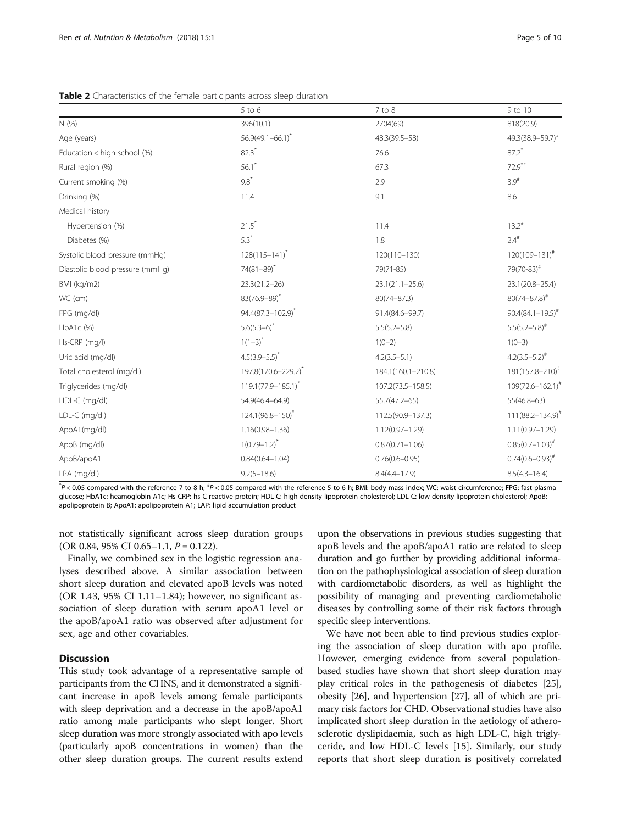|                                 | $5$ to $6$                     | 7 to 8              | 9 to 10                  |
|---------------------------------|--------------------------------|---------------------|--------------------------|
| N(%)                            | 396(10.1)                      | 2704(69)            | 818(20.9)                |
| Age (years)                     | $56.9(49.1 - 66.1)^{*}$        | 48.3(39.5-58)       | $49.3(38.9 - 59.7)^{#}$  |
| Education < high school (%)     | $82.3*$                        | 76.6                | $87.2$ *                 |
| Rural region (%)                | 56.1                           | 67.3                | $72.9$ <sup>*#</sup>     |
| Current smoking (%)             | $9.8*$                         | 2.9                 | $3.9^{#}$                |
| Drinking (%)                    | 11.4                           | 9.1                 | 8.6                      |
| Medical history                 |                                |                     |                          |
| Hypertension (%)                | $21.5*$                        | 11.4                | $13.2^{\#}$              |
| Diabetes (%)                    | $5.3*$                         | 1.8                 | $2.4^{\#}$               |
| Systolic blood pressure (mmHg)  | $128(115 - 141)^*$             | 120(110-130)        | $120(109 - 131)^{#}$     |
| Diastolic blood pressure (mmHg) | $74(81 - 89)^*$                | 79(71-85)           | 79(70-83)#               |
| BMI (kg/m2)                     | $23.3(21.2 - 26)$              | $23.1(21.1 - 25.6)$ | 23.1(20.8-25.4)          |
| WC (cm)                         | $83(76.9 - 89)^{*}$            | $80(74 - 87.3)$     | $80(74 - 87.8)^{#}$      |
| FPG (mg/dl)                     | 94.4(87.3-102.9)*              | 91.4(84.6-99.7)     | $90.4(84.1 - 19.5)^{\#}$ |
| HbA1c (%)                       | $5.6(5.3-6)^{*}$               | $5.5(5.2 - 5.8)$    | $5.5(5.2 - 5.8)^{#}$     |
| Hs-CRP (mg/l)                   | $1(1-3)^{*}$                   | $1(0-2)$            | $1(0-3)$                 |
| Uric acid (mg/dl)               | $4.5(3.9 - 5.5)^{*}$           | $4.2(3.5 - 5.1)$    | $4.2(3.5-5.2)^{#}$       |
| Total cholesterol (mg/dl)       | 197.8(170.6-229.2)             | 184.1(160.1-210.8)  | $181(157.8 - 210)^{\#}$  |
| Triglycerides (mg/dl)           | 119.1(77.9-185.1) <sup>*</sup> | 107.2(73.5-158.5)   | $109(72.6 - 162.1)^{#}$  |
| HDL-C (mg/dl)                   | 54.9(46.4-64.9)                | $55.7(47.2 - 65)$   | $55(46.8 - 63)$          |
| LDL-C (mg/dl)                   | 124.1(96.8-150)*               | 112.5(90.9-137.3)   | $111(88.2 - 134.9)^{#}$  |
| ApoA1(mg/dl)                    | $1.16(0.98 - 1.36)$            | $1.12(0.97 - 1.29)$ | $1.11(0.97 - 1.29)$      |
| ApoB (mg/dl)                    | $1(0.79 - 1.2)^{*}$            | $0.87(0.71 - 1.06)$ | $0.85(0.7-1.03)^{#}$     |
| ApoB/apoA1                      | $0.84(0.64 - 1.04)$            | $0.76(0.6 - 0.95)$  | $0.74(0.6 - 0.93)^{*}$   |
| LPA (mg/dl)                     | $9.2(5 - 18.6)$                | $8.4(4.4 - 17.9)$   | $8.5(4.3 - 16.4)$        |

<span id="page-4-0"></span>Table 2 Characteristics of the female participants across sleep duration

\*P < 0.05 compared with the reference 7 to 8 h; \*P < 0.05 compared with the reference 5 to 6 h; BMI: body mass index; WC: waist circumference; FPG: fast plasma glucose; HbA1c: heamoglobin A1c; Hs-CRP: hs-C-reactive protein; HDL-C: high density lipoprotein cholesterol; LDL-C: low density lipoprotein cholesterol; ApoB: apolipoprotein B; ApoA1: apolipoprotein A1; LAP: lipid accumulation product

not statistically significant across sleep duration groups (OR 0.84, 95% CI 0.65–1.1,  $P = 0.122$ ).

Finally, we combined sex in the logistic regression analyses described above. A similar association between short sleep duration and elevated apoB levels was noted (OR 1.43, 95% CI 1.11–1.84); however, no significant association of sleep duration with serum apoA1 level or the apoB/apoA1 ratio was observed after adjustment for sex, age and other covariables.

## **Discussion**

This study took advantage of a representative sample of participants from the CHNS, and it demonstrated a significant increase in apoB levels among female participants with sleep deprivation and a decrease in the apoB/apoA1 ratio among male participants who slept longer. Short sleep duration was more strongly associated with apo levels (particularly apoB concentrations in women) than the other sleep duration groups. The current results extend upon the observations in previous studies suggesting that apoB levels and the apoB/apoA1 ratio are related to sleep duration and go further by providing additional information on the pathophysiological association of sleep duration with cardiometabolic disorders, as well as highlight the possibility of managing and preventing cardiometabolic diseases by controlling some of their risk factors through specific sleep interventions.

We have not been able to find previous studies exploring the association of sleep duration with apo profile. However, emerging evidence from several populationbased studies have shown that short sleep duration may play critical roles in the pathogenesis of diabetes [[25](#page-9-0)], obesity [[26](#page-9-0)], and hypertension [\[27\]](#page-9-0), all of which are primary risk factors for CHD. Observational studies have also implicated short sleep duration in the aetiology of atherosclerotic dyslipidaemia, such as high LDL-C, high triglyceride, and low HDL-C levels [[15](#page-8-0)]. Similarly, our study reports that short sleep duration is positively correlated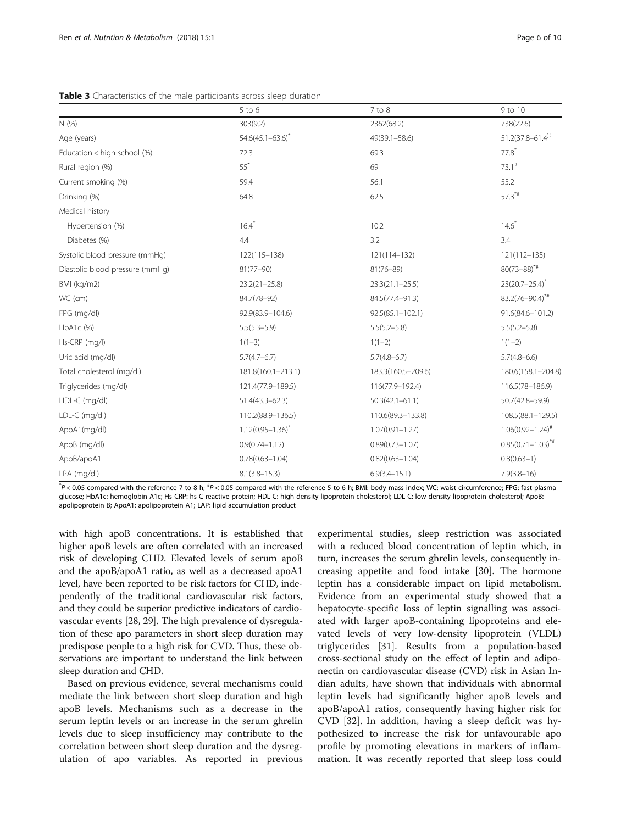|                                 | $5$ to $6$              | $7$ to $8$           | 9 to 10                          |
|---------------------------------|-------------------------|----------------------|----------------------------------|
| N(%)                            | 303(9.2)                | 2362(68.2)           | 738(22.6)                        |
| Age (years)                     | $54.6(45.1 - 63.6)^{*}$ | 49(39.1-58.6)        | $51.2(37.8 - 61.4)$ <sup>#</sup> |
| Education < high school (%)     | 72.3                    | 69.3                 | $77.8^*$                         |
| Rural region (%)                | $55^*$                  | 69                   | $73.1^{\#}$                      |
| Current smoking (%)             | 59.4                    | 56.1                 | 55.2                             |
| Drinking (%)                    | 64.8                    | 62.5                 | $57.3**$                         |
| Medical history                 |                         |                      |                                  |
| Hypertension (%)                | $16.4*$                 | 10.2                 | $14.6^*$                         |
| Diabetes (%)                    | 4.4                     | 3.2                  | 3.4                              |
| Systolic blood pressure (mmHq)  | 122(115-138)            | 121(114-132)         | $121(112 - 135)$                 |
| Diastolic blood pressure (mmHg) | $81(77 - 90)$           | $81(76 - 89)$        | $80(73-88)^{*}$                  |
| BMI (kg/m2)                     | $23.2(21 - 25.8)$       | $23.3(21.1 - 25.5)$  | $23(20.7 - 25.4)^{*}$            |
| WC (cm)                         | 84.7(78-92)             | 84.5(77.4-91.3)      | $83.2(76 - 90.4)^{4}$            |
| FPG (mg/dl)                     | 92.9(83.9-104.6)        | $92.5(85.1 - 102.1)$ | 91.6(84.6-101.2)                 |
| HbA1c (%)                       | $5.5(5.3 - 5.9)$        | $5.5(5.2 - 5.8)$     | $5.5(5.2 - 5.8)$                 |
| Hs-CRP (mg/l)                   | $1(1-3)$                | $1(1-2)$             | $1(1-2)$                         |
| Uric acid (mg/dl)               | $5.7(4.7-6.7)$          | $5.7(4.8 - 6.7)$     | $5.7(4.8 - 6.6)$                 |
| Total cholesterol (mg/dl)       | 181.8(160.1-213.1)      | 183.3(160.5-209.6)   | 180.6(158.1-204.8)               |
| Triglycerides (mg/dl)           | 121.4(77.9-189.5)       | 116(77.9-192.4)      | 116.5(78-186.9)                  |
| HDL-C (mg/dl)                   | $51.4(43.3 - 62.3)$     | $50.3(42.1 - 61.1)$  | 50.7(42.8-59.9)                  |
| LDL-C (mg/dl)                   | 110.2(88.9-136.5)       | 110.6(89.3-133.8)    | 108.5(88.1-129.5)                |
| ApoA1(mg/dl)                    | $1.12(0.95 - 1.36)^{*}$ | $1.07(0.91 - 1.27)$  | $1.06(0.92 - 1.24)^{#}$          |
| ApoB (mg/dl)                    | $0.9(0.74 - 1.12)$      | $0.89(0.73 - 1.07)$  | $0.85(0.71 - 1.03)^{4}$          |
| ApoB/apoA1                      | $0.78(0.63 - 1.04)$     | $0.82(0.63 - 1.04)$  | $0.8(0.63 - 1)$                  |
| LPA (mg/dl)                     | $8.1(3.8 - 15.3)$       | $6.9(3.4 - 15.1)$    | $7.9(3.8 - 16)$                  |

<span id="page-5-0"></span>Table 3 Characteristics of the male participants across sleep duration

\*P < 0.05 compared with the reference 7 to 8 h; \*P < 0.05 compared with the reference 5 to 6 h; BMI: body mass index; WC: waist circumference; FPG: fast plasma glucose; HbA1c: hemoglobin A1c; Hs-CRP: hs-C-reactive protein; HDL-C: high density lipoprotein cholesterol; LDL-C: low density lipoprotein cholesterol; ApoB: apolipoprotein B; ApoA1: apolipoprotein A1; LAP: lipid accumulation product

with high apoB concentrations. It is established that higher apoB levels are often correlated with an increased risk of developing CHD. Elevated levels of serum apoB and the apoB/apoA1 ratio, as well as a decreased apoA1 level, have been reported to be risk factors for CHD, independently of the traditional cardiovascular risk factors, and they could be superior predictive indicators of cardiovascular events [\[28, 29\]](#page-9-0). The high prevalence of dysregulation of these apo parameters in short sleep duration may predispose people to a high risk for CVD. Thus, these observations are important to understand the link between sleep duration and CHD.

Based on previous evidence, several mechanisms could mediate the link between short sleep duration and high apoB levels. Mechanisms such as a decrease in the serum leptin levels or an increase in the serum ghrelin levels due to sleep insufficiency may contribute to the correlation between short sleep duration and the dysregulation of apo variables. As reported in previous

experimental studies, sleep restriction was associated with a reduced blood concentration of leptin which, in turn, increases the serum ghrelin levels, consequently increasing appetite and food intake [\[30\]](#page-9-0). The hormone leptin has a considerable impact on lipid metabolism. Evidence from an experimental study showed that a hepatocyte-specific loss of leptin signalling was associated with larger apoB-containing lipoproteins and elevated levels of very low-density lipoprotein (VLDL) triglycerides [[31\]](#page-9-0). Results from a population-based cross-sectional study on the effect of leptin and adiponectin on cardiovascular disease (CVD) risk in Asian Indian adults, have shown that individuals with abnormal leptin levels had significantly higher apoB levels and apoB/apoA1 ratios, consequently having higher risk for CVD [[32](#page-9-0)]. In addition, having a sleep deficit was hypothesized to increase the risk for unfavourable apo profile by promoting elevations in markers of inflammation. It was recently reported that sleep loss could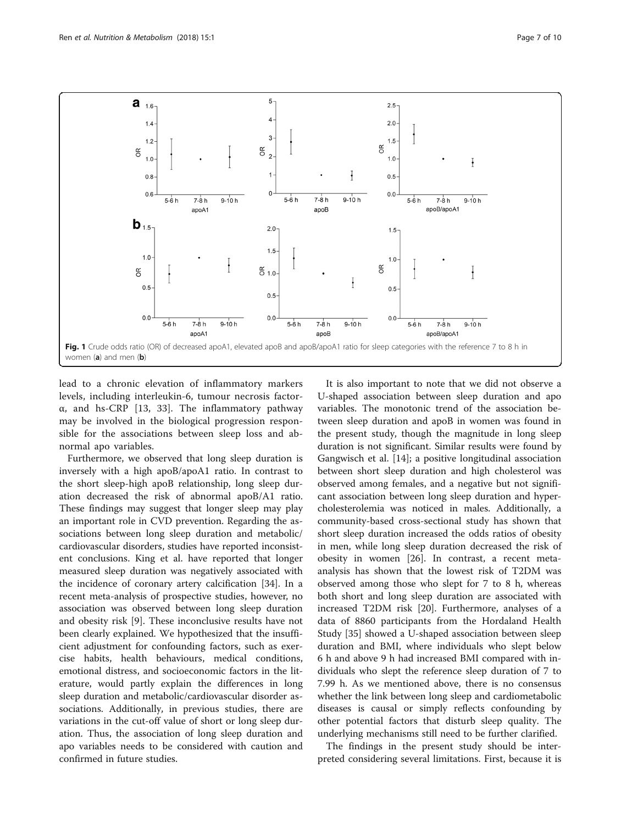<span id="page-6-0"></span>

lead to a chronic elevation of inflammatory markers levels, including interleukin-6, tumour necrosis factorα, and hs-CRP [\[13](#page-8-0), [33](#page-9-0)]. The inflammatory pathway may be involved in the biological progression responsible for the associations between sleep loss and abnormal apo variables.

Furthermore, we observed that long sleep duration is inversely with a high apoB/apoA1 ratio. In contrast to the short sleep-high apoB relationship, long sleep duration decreased the risk of abnormal apoB/A1 ratio. These findings may suggest that longer sleep may play an important role in CVD prevention. Regarding the associations between long sleep duration and metabolic/ cardiovascular disorders, studies have reported inconsistent conclusions. King et al. have reported that longer measured sleep duration was negatively associated with the incidence of coronary artery calcification [[34\]](#page-9-0). In a recent meta-analysis of prospective studies, however, no association was observed between long sleep duration and obesity risk [[9\]](#page-8-0). These inconclusive results have not been clearly explained. We hypothesized that the insufficient adjustment for confounding factors, such as exercise habits, health behaviours, medical conditions, emotional distress, and socioeconomic factors in the literature, would partly explain the differences in long sleep duration and metabolic/cardiovascular disorder associations. Additionally, in previous studies, there are variations in the cut-off value of short or long sleep duration. Thus, the association of long sleep duration and apo variables needs to be considered with caution and confirmed in future studies.

It is also important to note that we did not observe a U-shaped association between sleep duration and apo variables. The monotonic trend of the association between sleep duration and apoB in women was found in the present study, though the magnitude in long sleep duration is not significant. Similar results were found by Gangwisch et al. [[14\]](#page-8-0); a positive longitudinal association between short sleep duration and high cholesterol was observed among females, and a negative but not significant association between long sleep duration and hypercholesterolemia was noticed in males. Additionally, a community-based cross-sectional study has shown that short sleep duration increased the odds ratios of obesity in men, while long sleep duration decreased the risk of obesity in women [[26](#page-9-0)]. In contrast, a recent metaanalysis has shown that the lowest risk of T2DM was observed among those who slept for 7 to 8 h, whereas both short and long sleep duration are associated with increased T2DM risk [[20\]](#page-9-0). Furthermore, analyses of a data of 8860 participants from the Hordaland Health Study [\[35\]](#page-9-0) showed a U-shaped association between sleep duration and BMI, where individuals who slept below 6 h and above 9 h had increased BMI compared with individuals who slept the reference sleep duration of 7 to 7.99 h. As we mentioned above, there is no consensus whether the link between long sleep and cardiometabolic diseases is causal or simply reflects confounding by other potential factors that disturb sleep quality. The underlying mechanisms still need to be further clarified.

The findings in the present study should be interpreted considering several limitations. First, because it is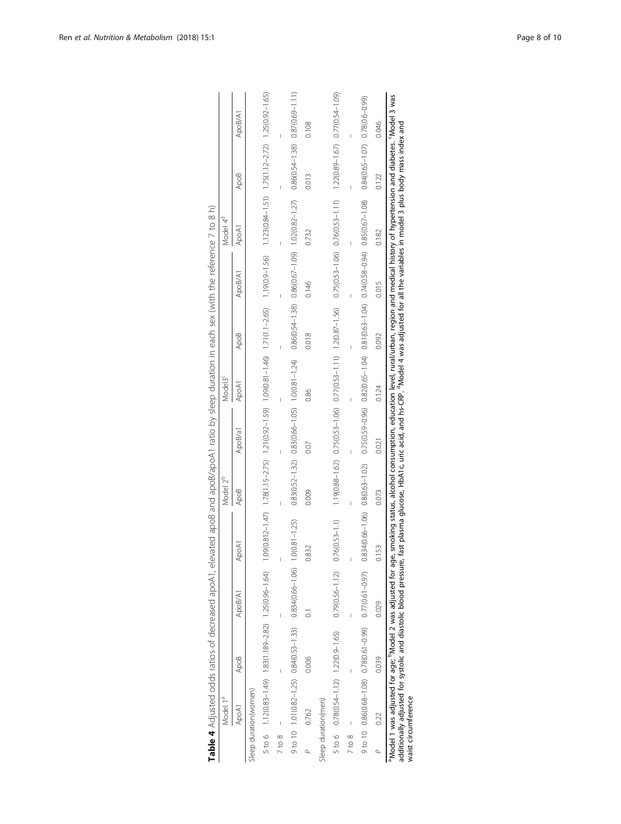<span id="page-7-0"></span>

|            | Model 1ª                              |                  |                                                                                                                                                           |                                                                                                                                                                            | Model 2 <sup>b</sup>                                       |         | Model <sub>3</sub> c                                                                      |                  |                                                             | Model 4 <sup>d</sup>                                                                                                                                                                                                                                                           |                                         |         |
|------------|---------------------------------------|------------------|-----------------------------------------------------------------------------------------------------------------------------------------------------------|----------------------------------------------------------------------------------------------------------------------------------------------------------------------------|------------------------------------------------------------|---------|-------------------------------------------------------------------------------------------|------------------|-------------------------------------------------------------|--------------------------------------------------------------------------------------------------------------------------------------------------------------------------------------------------------------------------------------------------------------------------------|-----------------------------------------|---------|
|            | ApoA1                                 | Apo <sub>B</sub> | ApoB/A1                                                                                                                                                   | ApoA <sup>-</sup>                                                                                                                                                          | ApoB                                                       | ApoB/a1 | ApoA1                                                                                     | Apo <sub>B</sub> | ApoB/A1                                                     | ApoA1                                                                                                                                                                                                                                                                          | ApoB                                    | ApoB/A1 |
|            | Sleep duration(women)                 |                  |                                                                                                                                                           |                                                                                                                                                                            |                                                            |         |                                                                                           |                  |                                                             |                                                                                                                                                                                                                                                                                |                                         |         |
|            |                                       |                  |                                                                                                                                                           | 5 to 6 112(083-149) 125(0.96-149) 125(0.96-146 128(1.092-147) 120(0.92-146) 120(0.81-146) 1.70(1.1-2.65) 1.1250) 1.1390.94-151) 1.7500.94-151) 1.250.092-165) 1.25003-165) |                                                            |         |                                                                                           |                  |                                                             |                                                                                                                                                                                                                                                                                |                                         |         |
| $7$ to $8$ |                                       |                  |                                                                                                                                                           | $\overline{1}$                                                                                                                                                             |                                                            |         |                                                                                           |                  |                                                             |                                                                                                                                                                                                                                                                                |                                         |         |
|            |                                       |                  | 9 to 10 10(0.82-1.25) 0.84(0.53-1.33) 0.834(0.66-1.06) 1.0(0.81-1.25)                                                                                     |                                                                                                                                                                            | $0.83(0.52 - 1.32)$ $0.83(0.66 - 1.05)$ $1.0(0.81 - 1.24)$ |         |                                                                                           |                  | $0.86(0.54 - 1.38)$ $0.86(0.67 - 1.09)$ $1.02(0.82 - 1.27)$ |                                                                                                                                                                                                                                                                                | $0.86(0.54 - 1.38)$ 0.87(0.69-1.11)     |         |
|            | 0.762                                 | 0.006            |                                                                                                                                                           | 0.832                                                                                                                                                                      | 0.009                                                      | 0.07    | 0.86                                                                                      | 0.018            | 0.146                                                       | 0.732                                                                                                                                                                                                                                                                          | 0.013                                   | 0.108   |
|            | Sleep duration(men)                   |                  |                                                                                                                                                           |                                                                                                                                                                            |                                                            |         |                                                                                           |                  |                                                             |                                                                                                                                                                                                                                                                                |                                         |         |
|            | 5 to 6 0.78(0.54-1.12) 1.22(0.9-1.65) |                  | $0.79(0.56 - 1.12)$                                                                                                                                       | $76(0.53 - 1.1)$                                                                                                                                                           |                                                            |         | 1.19(0.88-1.62) 0.75(0.53-1.06) 0.77(0.53-1.11) 1.2(0.87-1.56)                            |                  | $0.75(0.53 - 1.06)$ $0.76(0.53 - 1.11)$                     |                                                                                                                                                                                                                                                                                | $1.22(0.89 - 1.67)$ $0.77(0.54 - 1.09)$ |         |
| 7 to 8     |                                       |                  |                                                                                                                                                           | I                                                                                                                                                                          |                                                            |         |                                                                                           |                  |                                                             |                                                                                                                                                                                                                                                                                |                                         |         |
|            |                                       |                  |                                                                                                                                                           | 9 to 10 0.86(0.68-1.08) 0.78(0.61-0.97) 0.77(0.61-0.97) 0.834(0.66-1.06) 0.8(0.63-1.02)                                                                                    |                                                            |         | $0.75(0.59-0.96)$ $0.82(0.65-1.04)$ $0.81(0.63-1.04)$ $0.74(0.58-0.94)$ $0.85(0.67-1.08)$ |                  |                                                             |                                                                                                                                                                                                                                                                                | 0.84(0.65-1.07) 0.78(0.6-0.99)          |         |
|            | 0.22                                  | 0.039            | 0.029                                                                                                                                                     | S                                                                                                                                                                          | 0.073                                                      | 0.021   | 0.124                                                                                     | 0.092            | 0.015                                                       | 0.182                                                                                                                                                                                                                                                                          | 0.122                                   | 0.046   |
|            | waist circumference                   |                  | <sup>a</sup> Model 1 was adjusted for age; <sup>b</sup> Model 2 was adjusted for age,<br>additionally adjusted for systolic and diastolic blood pressure, |                                                                                                                                                                            |                                                            |         |                                                                                           |                  |                                                             | smoking status, alcohol consumption, education level, rural/urban, region and medical history of hypertension and diabetes. 'Model 3 was<br>fast plasma glucose, HbA1c, uric acid, and hs-CRP. "Model 4 was adjusted for all the variables in model 3 plus body mass index and |                                         |         |

| I                                                    |                                                                                                    |
|------------------------------------------------------|----------------------------------------------------------------------------------------------------|
|                                                      |                                                                                                    |
| l                                                    |                                                                                                    |
|                                                      | ֚֚֚֬                                                                                               |
|                                                      |                                                                                                    |
|                                                      |                                                                                                    |
| $\frac{1}{2}$                                        |                                                                                                    |
|                                                      |                                                                                                    |
|                                                      |                                                                                                    |
|                                                      |                                                                                                    |
|                                                      |                                                                                                    |
|                                                      |                                                                                                    |
| יא ומארא הא                                          |                                                                                                    |
|                                                      |                                                                                                    |
| l                                                    |                                                                                                    |
| 1                                                    |                                                                                                    |
|                                                      |                                                                                                    |
|                                                      |                                                                                                    |
| $+2$                                                 |                                                                                                    |
|                                                      | ֖֖֪ׅ֪֪ׅ֖֧֪֪ׅ֖֧֚֚֚֚֚֚֚֚֚֚֚֚֚֚֚֚֚֚֡֝֝֝֝֝֝֝֝֬֝֬֝֬֝֝֬֝֝֬֝֬֝֬֝֬֝֝֬֝֬֝֬֝֬֝֬֝֬֝֬֝֬֝֬֝֬֝֬֝֬֝֬֝֬֝֬֝֝֬֝֬֝֬֝֬ |
| -<br>;<br>;                                          |                                                                                                    |
|                                                      |                                                                                                    |
|                                                      |                                                                                                    |
|                                                      |                                                                                                    |
| l                                                    |                                                                                                    |
|                                                      |                                                                                                    |
|                                                      |                                                                                                    |
|                                                      |                                                                                                    |
| ֚֓                                                   |                                                                                                    |
|                                                      |                                                                                                    |
|                                                      |                                                                                                    |
|                                                      |                                                                                                    |
| $\mathfrak{c}$                                       |                                                                                                    |
|                                                      |                                                                                                    |
| 5                                                    |                                                                                                    |
|                                                      |                                                                                                    |
| ׇ֚֬֡<br>Ï                                            |                                                                                                    |
| َ م                                                  |                                                                                                    |
| $-1$                                                 |                                                                                                    |
| Ċ                                                    |                                                                                                    |
|                                                      |                                                                                                    |
|                                                      |                                                                                                    |
|                                                      |                                                                                                    |
| $\frac{1}{2}$                                        |                                                                                                    |
|                                                      |                                                                                                    |
| うりっこ<br>i                                            |                                                                                                    |
| j                                                    |                                                                                                    |
| j                                                    |                                                                                                    |
| į<br>$\overline{a}$                                  |                                                                                                    |
| .<br>.<br>.<br>.                                     |                                                                                                    |
|                                                      |                                                                                                    |
| ratio                                                |                                                                                                    |
|                                                      |                                                                                                    |
| j<br>֖֖֖֖֖֖֧֚֚֚֚֚֚֚֚֚֚֚֚֚֚֚֚֚֚֚֚֚֚֚֚֚֬֝֟֓֡֡֓֬֝֓֞֬֝֓֬ |                                                                                                    |
|                                                      |                                                                                                    |
|                                                      |                                                                                                    |
|                                                      |                                                                                                    |
| ֕                                                    |                                                                                                    |
|                                                      |                                                                                                    |
|                                                      |                                                                                                    |
|                                                      |                                                                                                    |
|                                                      |                                                                                                    |
| í<br>ļ                                               |                                                                                                    |
|                                                      |                                                                                                    |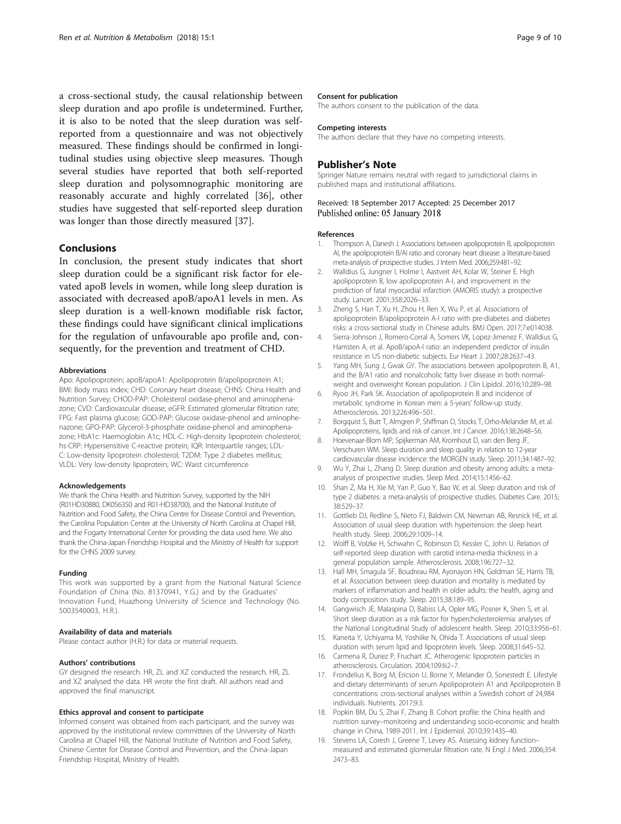<span id="page-8-0"></span>a cross-sectional study, the causal relationship between sleep duration and apo profile is undetermined. Further, it is also to be noted that the sleep duration was selfreported from a questionnaire and was not objectively measured. These findings should be confirmed in longitudinal studies using objective sleep measures. Though several studies have reported that both self-reported sleep duration and polysomnographic monitoring are reasonably accurate and highly correlated [[36\]](#page-9-0), other studies have suggested that self-reported sleep duration was longer than those directly measured [[37](#page-9-0)].

## Conclusions

In conclusion, the present study indicates that short sleep duration could be a significant risk factor for elevated apoB levels in women, while long sleep duration is associated with decreased apoB/apoA1 levels in men. As sleep duration is a well-known modifiable risk factor, these findings could have significant clinical implications for the regulation of unfavourable apo profile and, consequently, for the prevention and treatment of CHD.

#### Abbreviations

Apo: Apolipoprotein; apoB/apoA1: Apolipoprotein B/apolipoprotein A1; BMI: Body mass index; CHD: Coronary heart disease; CHNS: China Health and Nutrition Survey; CHOD-PAP: Cholesterol oxidase-phenol and aminophenazone; CVD: Cardiovascular disease; eGFR: Estimated glomerular filtration rate; FPG: Fast plasma glucose; GOD-PAP: Glucose oxidase-phenol and aminophenazone; GPO-PAP: Glycerol-3-phosphate oxidase-phenol and aminophenazone; HbA1c: Haemoglobin A1c; HDL-C: High-density lipoprotein cholesterol; hs-CRP: Hypersensitive C-reactive protein; IQR: Interquartile ranges; LDL-C: Low-density lipoprotein cholesterol; T2DM: Type 2 diabetes mellitus; VLDL: Very low-density lipoprotein; WC: Waist circumference

#### Acknowledgements

We thank the China Health and Nutrition Survey, supported by the NIH (R01HD30880, DK056350 and R01-HD38700), and the National Institute of Nutrition and Food Safety, the China Centre for Disease Control and Prevention, the Carolina Population Center at the University of North Carolina at Chapel Hill, and the Fogarty International Center for providing the data used here. We also thank the China-Japan Friendship Hospital and the Ministry of Health for support for the CHNS 2009 survey.

#### Funding

This work was supported by a grant from the National Natural Science Foundation of China (No. 81370941, Y.G.) and by the Graduates' Innovation Fund, Huazhong University of Science and Technology (No. 5003540003, H.R.).

#### Availability of data and materials

Please contact author (H.R.) for data or material requests.

#### Authors' contributions

GY designed the research. HR, ZL and XZ conducted the research. HR, ZL and XZ analysed the data. HR wrote the first draft. All authors read and approved the final manuscript.

#### Ethics approval and consent to participate

Informed consent was obtained from each participant, and the survey was approved by the institutional review committees of the University of North Carolina at Chapel Hill, the National Institute of Nutrition and Food Safety, Chinese Center for Disease Control and Prevention, and the China-Japan Friendship Hospital, Ministry of Health.

#### Consent for publication

The authors consent to the publication of the data.

#### Competing interests

The authors declare that they have no competing interests.

## Publisher's Note

Springer Nature remains neutral with regard to jurisdictional claims in published maps and institutional affiliations.

#### Received: 18 September 2017 Accepted: 25 December 2017 Published online: 05 January 2018

#### References

- 1. Thompson A, Danesh J. Associations between apolipoprotein B, apolipoprotein AI, the apolipoprotein B/AI ratio and coronary heart disease: a literature-based meta-analysis of prospective studies. J Intern Med. 2006;259:481–92.
- 2. Walldius G, Jungner I, Holme I, Aastveit AH, Kolar W, Steiner E. High apolipoprotein B, low apolipoprotein A-I, and improvement in the prediction of fatal myocardial infarction (AMORIS study): a prospective study. Lancet. 2001;358:2026–33.
- 3. Zheng S, Han T, Xu H, Zhou H, Ren X, Wu P, et al. Associations of apolipoprotein B/apolipoprotein A-I ratio with pre-diabetes and diabetes risks: a cross-sectional study in Chinese adults. BMJ Open. 2017;7:e014038.
- 4. Sierra-Johnson J, Romero-Corral A, Somers VK, Lopez-Jimenez F, Walldius G, Hamsten A, et al. ApoB/apoA-I ratio: an independent predictor of insulin resistance in US non-diabetic subjects. Eur Heart J. 2007;28:2637–43.
- 5. Yang MH, Sung J, Gwak GY. The associations between apolipoprotein B, A1, and the B/A1 ratio and nonalcoholic fatty liver disease in both normalweight and overweight Korean population. J Clin Lipidol. 2016;10:289–98.
- 6. Ryoo JH, Park SK. Association of apolipoprotein B and incidence of metabolic syndrome in Korean men: a 5-years' follow-up study. Atherosclerosis. 2013;226:496–501.
- 7. Borgquist S, Butt T, Almgren P, Shiffman D, Stocks T, Orho-Melander M, et al. Apolipoproteins, lipids and risk of cancer. Int J Cancer. 2016;138:2648–56.
- 8. Hoevenaar-Blom MP, Spijkerman AM, Kromhout D, van den Berg JF, Verschuren WM. Sleep duration and sleep quality in relation to 12-year cardiovascular disease incidence: the MORGEN study. Sleep. 2011;34:1487–92.
- 9. Wu Y, Zhai L, Zhang D. Sleep duration and obesity among adults: a metaanalysis of prospective studies. Sleep Med. 2014;15:1456–62.
- 10. Shan Z, Ma H, Xie M, Yan P, Guo Y, Bao W, et al. Sleep duration and risk of type 2 diabetes: a meta-analysis of prospective studies. Diabetes Care. 2015; 38:529–37.
- 11. Gottlieb DJ, Redline S, Nieto FJ, Baldwin CM, Newman AB, Resnick HE, et al. Association of usual sleep duration with hypertension: the sleep heart health study. Sleep. 2006;29:1009–14.
- 12. Wolff B, Volzke H, Schwahn C, Robinson D, Kessler C, John U. Relation of self-reported sleep duration with carotid intima-media thickness in a general population sample. Atherosclerosis. 2008;196:727–32.
- 13. Hall MH, Smagula SF, Boudreau RM, Ayonayon HN, Goldman SE, Harris TB, et al. Association between sleep duration and mortality is mediated by markers of inflammation and health in older adults: the health, aging and body composition study. Sleep. 2015;38:189–95.
- 14. Gangwisch JE, Malaspina D, Babiss LA, Opler MG, Posner K, Shen S, et al. Short sleep duration as a risk factor for hypercholesterolemia: analyses of the National Longitudinal Study of adolescent health. Sleep. 2010;33:956–61.
- 15. Kaneita Y, Uchiyama M, Yoshiike N, Ohida T. Associations of usual sleep duration with serum lipid and lipoprotein levels. Sleep. 2008;31:645–52.
- 16. Carmena R, Duriez P, Fruchart JC. Atherogenic lipoprotein particles in atherosclerosis. Circulation. 2004;109:Iii2–7.
- 17. Frondelius K, Borg M, Ericson U, Borne Y, Melander O, Sonestedt E. Lifestyle and dietary determinants of serum Apolipoprotein A1 and Apolipoprotein B concentrations: cross-sectional analyses within a Swedish cohort of 24,984 individuals. Nutrients. 2017;9:3.
- 18. Popkin BM, Du S, Zhai F, Zhang B. Cohort profile: the China health and nutrition survey–monitoring and understanding socio-economic and health change in China, 1989-2011. Int J Epidemiol. 2010;39:1435–40.
- 19. Stevens LA, Coresh J, Greene T, Levey AS. Assessing kidney function– measured and estimated glomerular filtration rate. N Engl J Med. 2006;354: 2473–83.